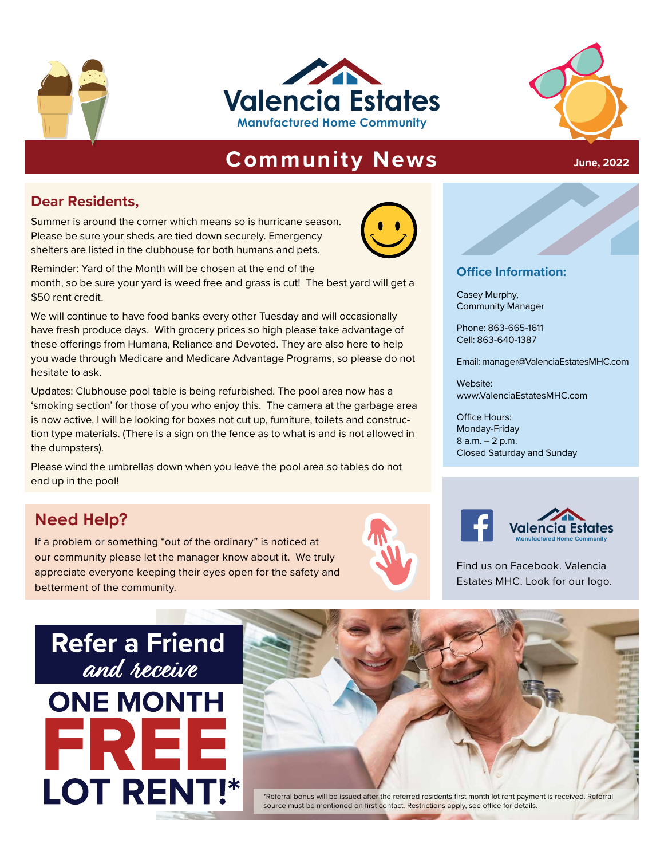





**June, 2022**

# **Community News**

## **Dear Residents,**

Summer is around the corner which means so is hurricane season. Please be sure your sheds are tied down securely. Emergency shelters are listed in the clubhouse for both humans and pets.



Reminder: Yard of the Month will be chosen at the end of the month, so be sure your yard is weed free and grass is cut! The best yard will get a \$50 rent credit.

**PHONOGIST CASE SET AND REPORT ON A CASE SET AND REPORT ON A PRINCIPLE OF A PROBLEM PRIOR OF A PRINCIPLE ON A PRINCIPLE ON A PRINCIPLE OF A PRINCIPLE ON A PRINCIPLE ON A PRINCIPLE ON A PRINCIPLE ON A PRINCIPLE ON A PRINCIP Manufacture in the product of the Community**<br>
Email: manager@ValenciaEstatesMHC.com We will continue to have food banks every other Tuesday and will occasionally have fresh produce days. With grocery prices so high please take advantage of these offerings from Humana, Reliance and Devoted. They are also here to help you wade through Medicare and Medicare Advantage Programs, so please do not hesitate to ask.

Updates: Clubhouse pool table is being refurbished. The pool area now has a 'smoking section' for those of you who enjoy this. The camera at the garbage area is now active, I will be looking for boxes not cut up, furniture, toilets and construction type materials. (There is a sign on the fence as to what is and is not allowed in the dumpsters).

Please wind the umbrellas down when you leave the pool area so tables do not end up in the pool!

# **Need Help?**

If a problem or something "out of the ordinary" is noticed at our community please let the manager know about it. We truly appreciate everyone keeping their eyes open for the safety and betterment of the community.





Find us on Facebook. Valencia Estates MHC. Look for our logo.

# **Refer a Friend** and receive **ONE MONTH LOT RENT!\***



#### **Office Information:**

Casey Murphy, Community Manager

Phone: 863-665-1611 Cell: 863-640-1387

Email: manager@ValenciaEstatesMHC.com

Website: www.ValenciaEstatesMHC.com

Office Hours: Monday-Friday 8 a.m. – 2 p.m. Closed Saturday and Sunday